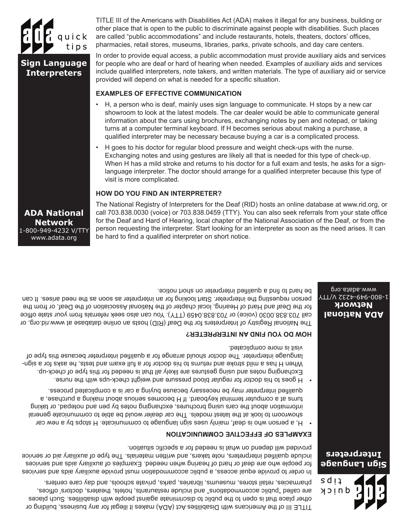TITLE III of the Americans with Disabilities Act (ADA) makes it illegal for any business, building or other place that is open to the public to discriminate against people with disabilities. Such places are called "public accommodations" and include restaurants, hotels, theaters, doctors' offices, pharmacies, retail stores, museums, libraries, parks, private schools, and day care centers.

In order to provide equal access, a public accommodation must provide auxiliary aids and services for people who are deaf or hard of hearing when needed. Examples of auxiliary aids and services Include dualified interpreters, note takers, and written materials. The type of auxiliary aid or service provided will depend on what is needed for a specific situation.

### **EXAMPLES OF EFFECTIVE COMMUNICATION**

- H, a person who is deaf, mainly uses sign language to communicate. H stops by a new car showroom to look at the latest models. The car dealer would be able to communicate general information sport the cars neing prochures, exchanging notes by pen and notepad, or taking turns at a computer terminal keyboard. If H becomes serious about making a purchase, a qualified interpreter may be necessary because buying a car is a complicated process.
- H goes to his doctor for regular blood pressure and weight check-ups with the nurse. Exchanging notes and using gestures are likely all that is needed for this type of check-up. When H has a mild shorte and returns to his doctor for a full exam and tests, he asks for a rignlanguage interpreter. The doctor should arrange for a qualified interpreter because this type of visit is more complicated.

### **HOM DO JOU FIND AN INTERPRETER?**

The National Registry of Interpreters for the Deaf (RID) hosts an online database at www.rid.org, or call 703.838.0030 (voice) or 703.838.0459 (TTY). You can also seek referrals from your state office for the Deaf and Hard of Hearing, local chapter of the National Association of the Deaf, or from the person requesting the interpreter. Start looking for an interpreter as soon as the need arises. It can be hard to find a qualified interpreter on short notice.

The National Registry of Interpreters for the Deaf (RID) hosts an online database at www.rid.org, or call 703.838.0030 (voice) or 703.838.0459 (TTY). You can also seek referrals from your state office for the Deaf and Hard of Hearing, local chapter of the National Association of the Deaf, or from the person requesting the interpreter. Start looking for an interpreter as soon as the need arises. It can be hard to find a qualified interpreter on short notice.

### **HOW DO YOU FIND AN INTERPRETER?**

- H goes to his doctor for regular blood pressure and weight check-ups with the nurse. Exchanging notes and using gestures are likely all that is needed for this type of check-up. When H has a mild stroke and returns to his doctor for a full exam and tests, he asks for a signlanguage interpreter. The doctor should arrange for a qualified interpreter because this type of visit is more complicated.
- H, a person who is deaf, mainly uses sign language to communicate. H stops by a new car showroom to look at the latest models. The car dealer would be able to communicate general information about the cars using brochures, exchanging notes by pen and notepad, or taking turns at a computer terminal keyboard. If H becomes serious about making a purchase, a qualified interpreter may be necessary because buying a car is a complicated process.
- provided will depend on what is needed for a specific situation. **EXAMPLES OF EFFECTIVE COMMUNICATION**



**ADA National Network** 1-800-949-4232 V/TTY www.adata.org

TITLE III of the Americans with Disabilities Act (ADA) makes it illegal for any business, building or other place that is open to the public to discriminate against people with disabilities. Such places are called "public accommodations" and include restaurants, hotels, theaters, doctors' offices, pharmacies, retail stores, museums, libraries, parks, private schools, and day care centers.

> sdii dnick

**Signbue Language Interpreters**

**ADA National Network** 1-800-949-4232 V/TTY

www.adata.org